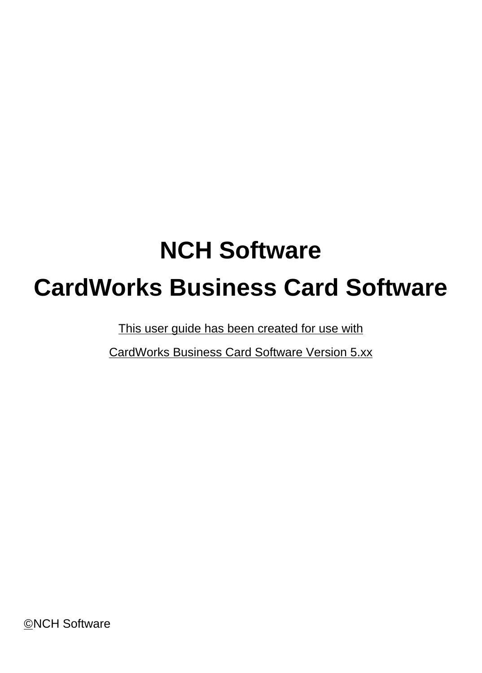# **NCH Software CardWorks Business Card Software**

This user guide has been created for use with

CardWorks Business Card Software Version 5.xx

©NCH Software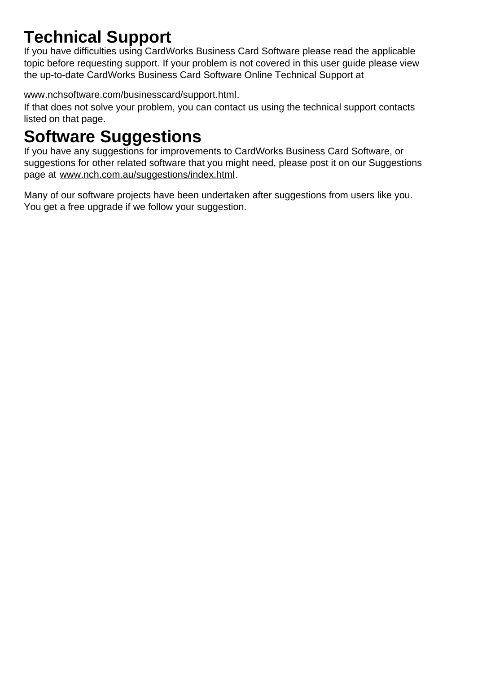# **Technical Support**

If you have difficulties using CardWorks Business Card Software please read the applicable topic before requesting support. If your problem is not covered in this user guide please view the up-to-date CardWorks Business Card Software Online Technical Support at

# <www.nchsoftware.com/businesscard/support.html>.

If that does not solve your problem, you can contact us using the technical support contacts listed on that page.

# **Software Suggestions**

If you have any suggestions for improvements to CardWorks Business Card Software, or suggestions for other related software that you might need, please post it on our Suggestions page at <www.nch.com.au/suggestions/index.html>.

Many of our software projects have been undertaken after suggestions from users like you. You get a free upgrade if we follow your suggestion.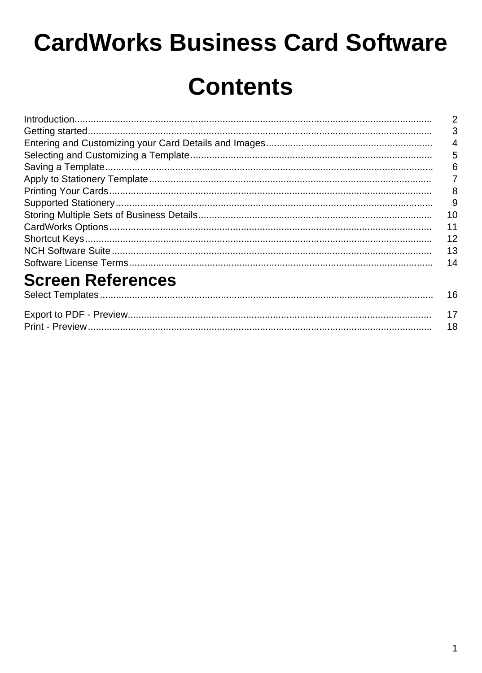# **CardWorks Business Card Software**

# **Contents**

| $\label{prop:nonlinear} \textit{Introduction} \textit{} \textit{} \textit{} \textit{} \textit{} \textit{} \textit{} \textit{} \textit{} \textit{} \textit{} \textit{} \textit{} \textit{} \textit{} \textit{} \textit{} \textit{} \textit{} \textit{} \textit{} \textit{} \textit{} \textit{} \textit{} \textit{} \textit{} \textit{} \textit{} \textit{} \textit{} \textit{} \textit{} \textit{} \text$ | $\overline{2}$ |
|----------------------------------------------------------------------------------------------------------------------------------------------------------------------------------------------------------------------------------------------------------------------------------------------------------------------------------------------------------------------------------------------------------|----------------|
|                                                                                                                                                                                                                                                                                                                                                                                                          | 3              |
|                                                                                                                                                                                                                                                                                                                                                                                                          | $\overline{4}$ |
|                                                                                                                                                                                                                                                                                                                                                                                                          | 5              |
|                                                                                                                                                                                                                                                                                                                                                                                                          | 6              |
|                                                                                                                                                                                                                                                                                                                                                                                                          | 7              |
|                                                                                                                                                                                                                                                                                                                                                                                                          | 8              |
|                                                                                                                                                                                                                                                                                                                                                                                                          | 9              |
|                                                                                                                                                                                                                                                                                                                                                                                                          | 10             |
|                                                                                                                                                                                                                                                                                                                                                                                                          | 11             |
|                                                                                                                                                                                                                                                                                                                                                                                                          | 12             |
|                                                                                                                                                                                                                                                                                                                                                                                                          | 13             |
|                                                                                                                                                                                                                                                                                                                                                                                                          | 14             |
| $\sim$ $\sim$ $\sim$                                                                                                                                                                                                                                                                                                                                                                                     |                |

#### **Screen References** Coloot Tomplates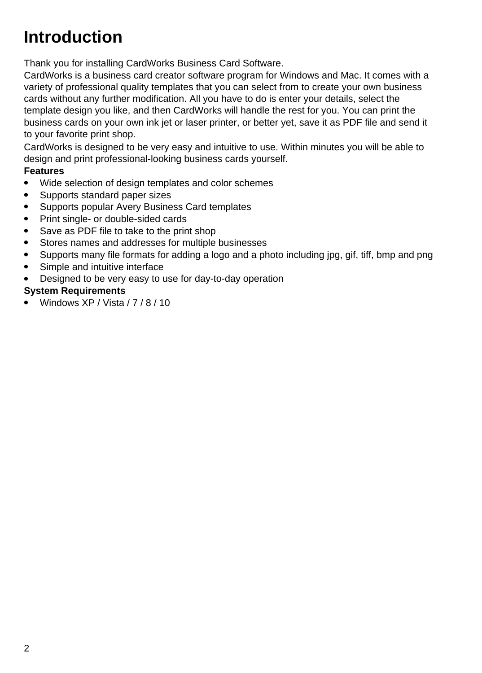# **Introduction**

Thank you for installing CardWorks Business Card Software.

CardWorks is a business card creator software program for Windows and Mac. It comes with a variety of professional quality templates that you can select from to create your own business cards without any further modification. All you have to do is enter your details, select the template design you like, and then CardWorks will handle the rest for you. You can print the business cards on your own ink jet or laser printer, or better yet, save it as PDF file and send it to your favorite print shop.

CardWorks is designed to be very easy and intuitive to use. Within minutes you will be able to design and print professional-looking business cards yourself.

#### **Features**

- Wide selection of design templates and color schemes
- Supports standard paper sizes
- Supports popular Avery Business Card templates
- Print single- or double-sided cards
- Save as PDF file to take to the print shop
- Stores names and addresses for multiple businesses
- Supports many file formats for adding a logo and a photo including ipg, gif, tiff, bmp and png
- Simple and intuitive interface
- Designed to be very easy to use for day-to-day operation

### **System Requirements**

Windows XP / Vista / 7 / 8 / 10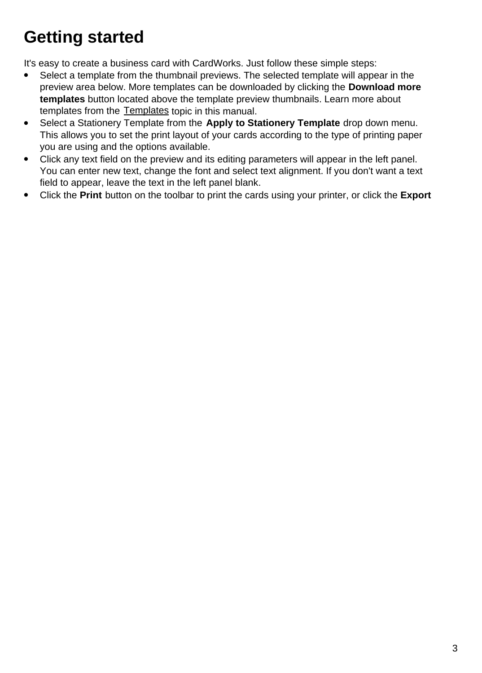# **Getting started**

It's easy to create a business card with CardWorks. Just follow these simple steps:

- Select a template from the thumbnail previews. The selected template will appear in the preview area below. More templates can be downloaded by clicking the **Download more templates** button located above the template preview thumbnails. Learn more about templates from the [Templates](templates.html) topic in this manual.
- Select a Stationery Template from the **Apply to Stationery Template** drop down menu. This allows you to set the print layout of your cards according to the type of printing paper you are using and the options available.
- Click any text field on the preview and its editing parameters will appear in the left panel. You can enter new text, change the font and select text alignment. If you don't want a text field to appear, leave the text in the left panel blank.
- Click the **Print** button on the toolbar to print the cards using your printer, or click the **Export**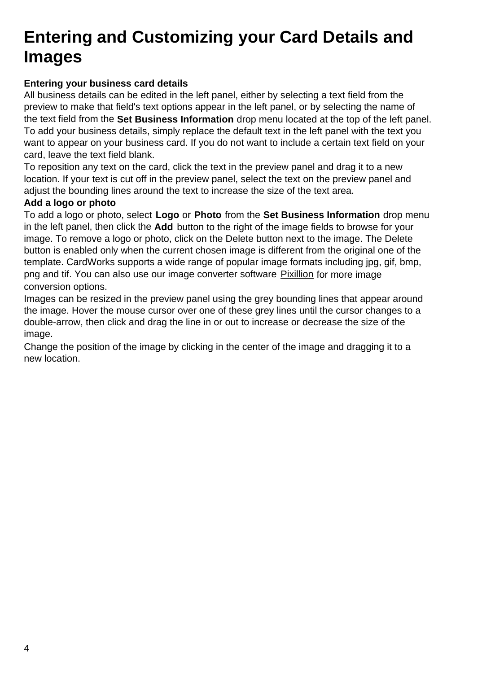# **Entering and Customizing your Card Details and Images**

### **Entering your business card details**

All business details can be edited in the left panel, either by selecting a text field from the preview to make that field's text options appear in the left panel, or by selecting the name of the text field from the **Set Business Information** drop menu located at the top of the left panel. To add your business details, simply replace the default text in the left panel with the text you want to appear on your business card. If you do not want to include a certain text field on your card, leave the text field blank.

To reposition any text on the card, click the text in the preview panel and drag it to a new location. If your text is cut off in the preview panel, select the text on the preview panel and adjust the bounding lines around the text to increase the size of the text area.

#### **Add a logo or photo**

To add a logo or photo, select **Logo** or **Photo** from the **Set Business Information** drop menu in the left panel, then click the **Add** button to the right of the image fields to browse for your image. To remove a logo or photo, click on the Delete button next to the image. The Delete button is enabled only when the current chosen image is different from the original one of the template. CardWorks supports a wide range of popular image formats including jpg, gif, bmp, png and tif. You can also use our image converter software [Pixillion](http://nchsoftware.com/imageconverter) for more image conversion options.

Images can be resized in the preview panel using the grey bounding lines that appear around the image. Hover the mouse cursor over one of these grey lines until the cursor changes to a double-arrow, then click and drag the line in or out to increase or decrease the size of the image.

Change the position of the image by clicking in the center of the image and dragging it to a new location.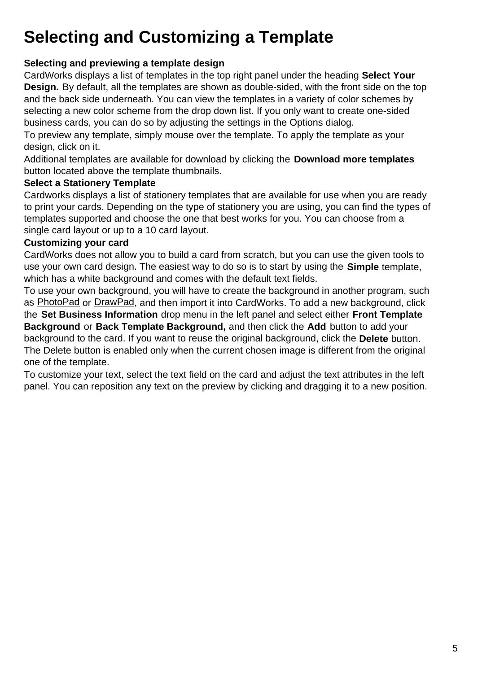# **Selecting and Customizing a Template**

### **Selecting and previewing a template design**

CardWorks displays a list of templates in the top right panel under the heading **Select Your Design.** By default, all the templates are shown as double-sided, with the front side on the top and the back side underneath. You can view the templates in a variety of color schemes by selecting a new color scheme from the drop down list. If you only want to create one-sided business cards, you can do so by adjusting the settings in the Options dialog.

To preview any template, simply mouse over the template. To apply the template as your design, click on it.

Additional templates are available for download by clicking the **Download more templates** button located above the template thumbnails.

#### **Select a Stationery Template**

Cardworks displays a list of stationery templates that are available for use when you are ready to print your cards. Depending on the type of stationery you are using, you can find the types of templates supported and choose the one that best works for you. You can choose from a single card layout or up to a 10 card layout.

#### **Customizing your card**

CardWorks does not allow you to build a card from scratch, but you can use the given tools to use your own card design. The easiest way to do so is to start by using the **Simple** template, which has a white background and comes with the default text fields.

To use your own background, you will have to create the background in another program, such as [PhotoPad](http://www.nchsoftware.com/photoeditor/index.html) or [DrawPad](http://www.nchsoftware.com/drawpad/index.html), and then import it into CardWorks. To add a new background, click the **Set Business Information** drop menu in the left panel and select either **Front Template Background** or **Back Template Background,** and then click the **Add** button to add your background to the card. If you want to reuse the original background, click the **Delete** button. The Delete button is enabled only when the current chosen image is different from the original one of the template.

To customize your text, select the text field on the card and adjust the text attributes in the left panel. You can reposition any text on the preview by clicking and dragging it to a new position.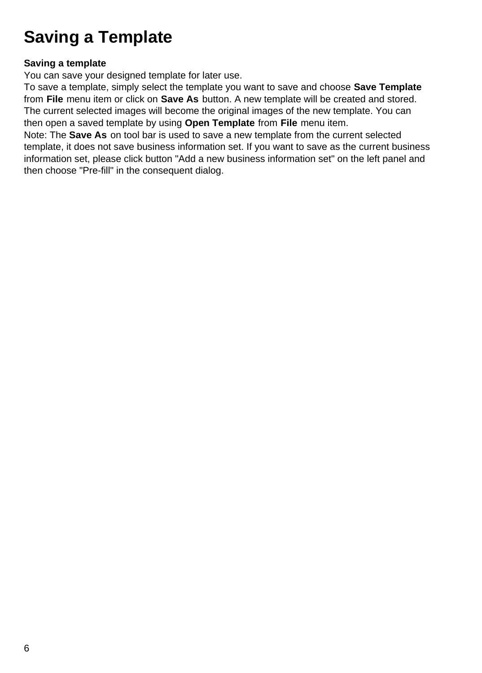# **Saving a Template**

### **Saving a template**

You can save your designed template for later use.

To save a template, simply select the template you want to save and choose **Save Template** from **File** menu item or click on **Save As** button. A new template will be created and stored. The current selected images will become the original images of the new template. You can then open a saved template by using **Open Template** from **File** menu item.

Note: The **Save As** on tool bar is used to save a new template from the current selected template, it does not save business information set. If you want to save as the current business information set, please click button "Add a new business information set" on the left panel and then choose "Pre-fill" in the consequent dialog.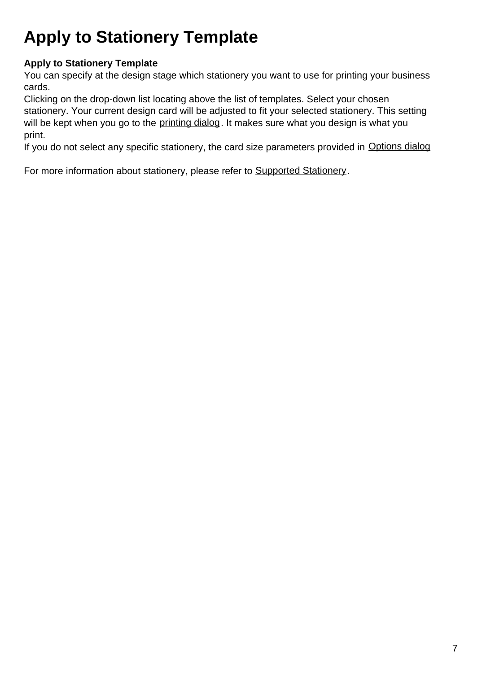# **Apply to Stationery Template**

## **Apply to Stationery Template**

You can specify at the design stage which stationery you want to use for printing your business cards.

Clicking on the drop-down list locating above the list of templates. Select your chosen stationery. Your current design card will be adjusted to fit your selected stationery. This setting will be kept when you go to the [printing dialog](printing.html). It makes sure what you design is what you print.

If you do not select any specific stationery, the card size parameters provided in [Options dialog](cardoptions.html)

For more information about stationery, please refer to [Supported Stationery](stationery.html).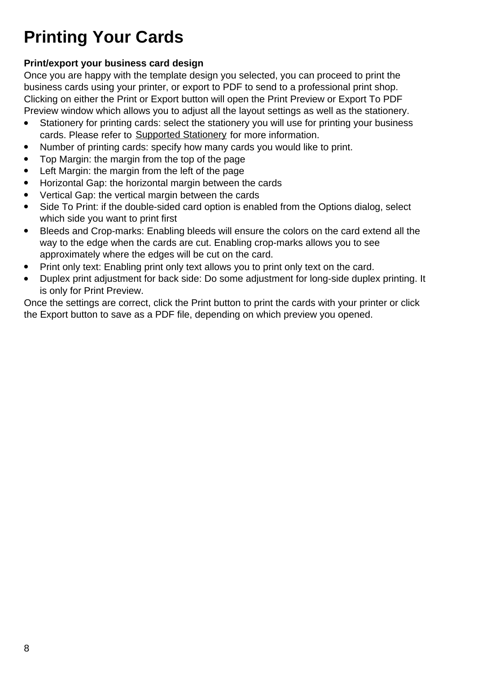# **Printing Your Cards**

#### **Print/export your business card design**

Once you are happy with the template design you selected, you can proceed to print the business cards using your printer, or export to PDF to send to a professional print shop. Clicking on either the Print or Export button will open the Print Preview or Export To PDF Preview window which allows you to adjust all the layout settings as well as the stationery.

- Stationery for printing cards: select the stationery you will use for printing your business cards. Please refer to [Supported Stationery](stationery.html) for more information.
- Number of printing cards: specify how many cards you would like to print.
- Top Margin: the margin from the top of the page
- Left Margin: the margin from the left of the page
- Horizontal Gap: the horizontal margin between the cards
- Vertical Gap: the vertical margin between the cards
- Side To Print: if the double-sided card option is enabled from the Options dialog, select which side you want to print first
- Bleeds and Crop-marks: Enabling bleeds will ensure the colors on the card extend all the way to the edge when the cards are cut. Enabling crop-marks allows you to see approximately where the edges will be cut on the card.
- Print only text: Enabling print only text allows you to print only text on the card.
- Duplex print adjustment for back side: Do some adjustment for long-side duplex printing. It is only for Print Preview.

Once the settings are correct, click the Print button to print the cards with your printer or click the Export button to save as a PDF file, depending on which preview you opened.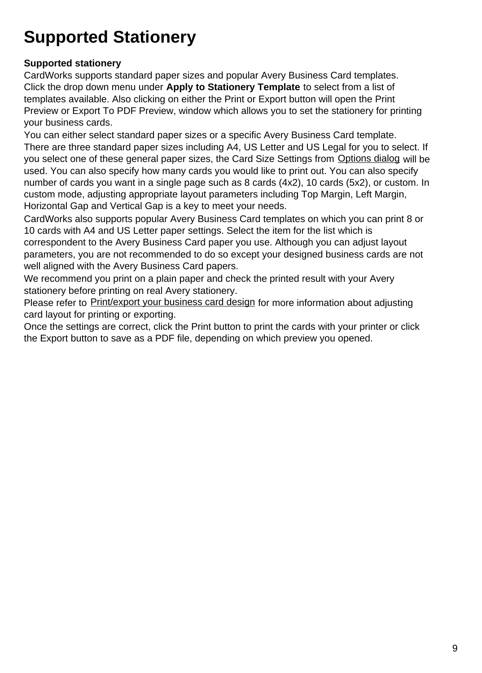# **Supported Stationery**

### **Supported stationery**

CardWorks supports standard paper sizes and popular Avery Business Card templates. Click the drop down menu under **Apply to Stationery Template** to select from a list of templates available. Also clicking on either the Print or Export button will open the Print Preview or Export To PDF Preview, window which allows you to set the stationery for printing your business cards.

You can either select standard paper sizes or a specific Avery Business Card template. There are three standard paper sizes including A4, US Letter and US Legal for you to select. If you select one of these general paper sizes, the Card Size Settings from [Options dialog](cardoptions.html) will be used. You can also specify how many cards you would like to print out. You can also specify number of cards you want in a single page such as 8 cards (4x2), 10 cards (5x2), or custom. In custom mode, adjusting appropriate layout parameters including Top Margin, Left Margin, Horizontal Gap and Vertical Gap is a key to meet your needs.

CardWorks also supports popular Avery Business Card templates on which you can print 8 or 10 cards with A4 and US Letter paper settings. Select the item for the list which is correspondent to the Avery Business Card paper you use. Although you can adjust layout parameters, you are not recommended to do so except your designed business cards are not

well aligned with the Avery Business Card papers. We recommend you print on a plain paper and check the printed result with your Avery stationery before printing on real Avery stationery.

Please refer to [Print/export your business card design](printing.html) for more information about adjusting card layout for printing or exporting.

Once the settings are correct, click the Print button to print the cards with your printer or click the Export button to save as a PDF file, depending on which preview you opened.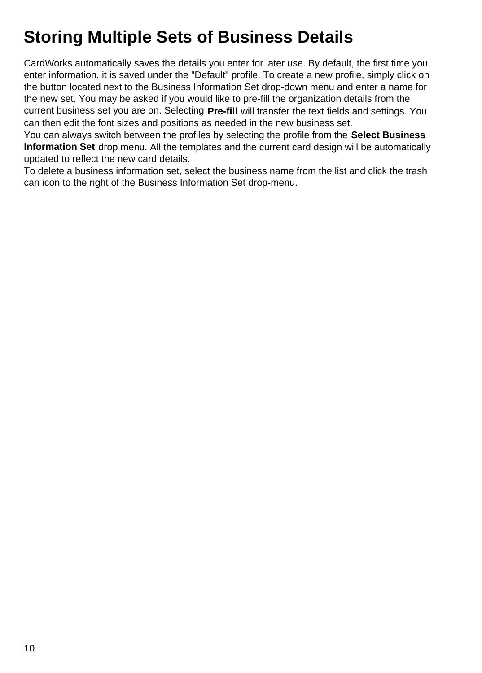# **Storing Multiple Sets of Business Details**

CardWorks automatically saves the details you enter for later use. By default, the first time you enter information, it is saved under the "Default" profile. To create a new profile, simply click on the button located next to the Business Information Set drop-down menu and enter a name for the new set. You may be asked if you would like to pre-fill the organization details from the current business set you are on. Selecting **Pre-fill** will transfer the text fields and settings. You can then edit the font sizes and positions as needed in the new business set.

You can always switch between the profiles by selecting the profile from the **Select Business Information Set** drop menu. All the templates and the current card design will be automatically updated to reflect the new card details.

To delete a business information set, select the business name from the list and click the trash can icon to the right of the Business Information Set drop-menu.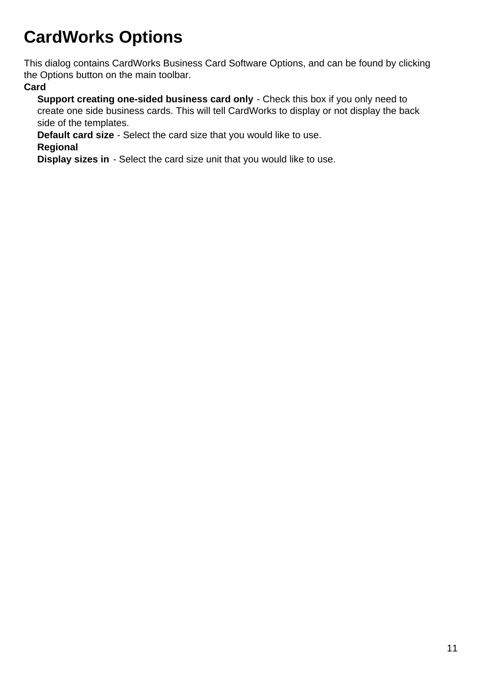# **CardWorks Options**

This dialog contains CardWorks Business Card Software Options, and can be found by clicking the Options button on the main toolbar.

#### **Card**

**Support creating one-sided business card only** - Check this box if you only need to create one side business cards. This will tell CardWorks to display or not display the back side of the templates.

**Default card size** - Select the card size that you would like to use.

#### **Regional**

**Display sizes in** - Select the card size unit that you would like to use.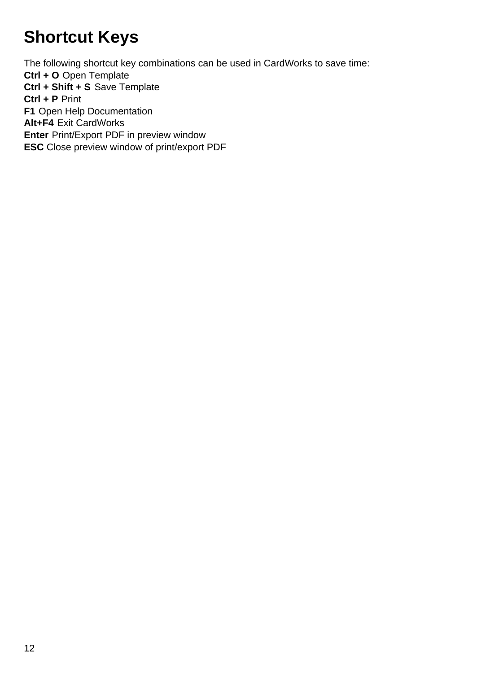# **Shortcut Keys**

The following shortcut key combinations can be used in CardWorks to save time: **Ctrl + O** Open Template **Ctrl + Shift + S** Save Template **Ctrl + P** Print **F1** Open Help Documentation **Alt+F4** Exit CardWorks **Enter** Print/Export PDF in preview window **ESC** Close preview window of print/export PDF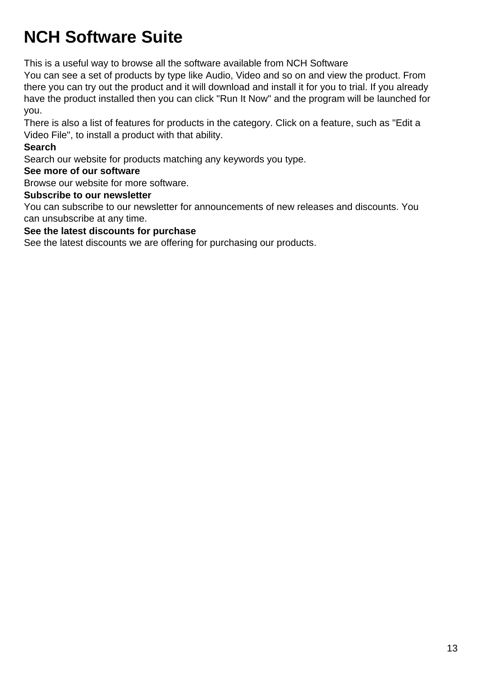# **NCH Software Suite**

This is a useful way to browse all the software available from NCH Software

You can see a set of products by type like Audio, Video and so on and view the product. From there you can try out the product and it will download and install it for you to trial. If you already have the product installed then you can click "Run It Now" and the program will be launched for you.

There is also a list of features for products in the category. Click on a feature, such as "Edit a Video File", to install a product with that ability.

#### **Search**

Search our website for products matching any keywords you type.

#### **See more of our software**

Browse our website for more software.

### **Subscribe to our newsletter**

You can subscribe to our newsletter for announcements of new releases and discounts. You can unsubscribe at any time.

#### **See the latest discounts for purchase**

See the latest discounts we are offering for purchasing our products.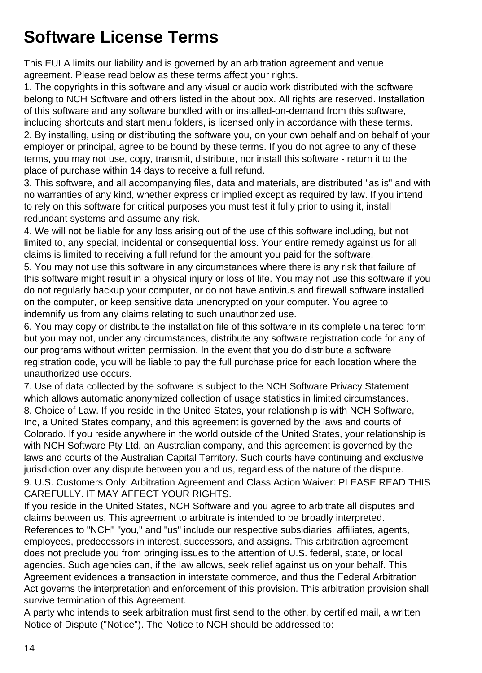# **Software License Terms**

This EULA limits our liability and is governed by an arbitration agreement and venue agreement. Please read below as these terms affect your rights.

1. The copyrights in this software and any visual or audio work distributed with the software belong to NCH Software and others listed in the about box. All rights are reserved. Installation of this software and any software bundled with or installed-on-demand from this software, including shortcuts and start menu folders, is licensed only in accordance with these terms.

2. By installing, using or distributing the software you, on your own behalf and on behalf of your employer or principal, agree to be bound by these terms. If you do not agree to any of these terms, you may not use, copy, transmit, distribute, nor install this software - return it to the place of purchase within 14 days to receive a full refund.

3. This software, and all accompanying files, data and materials, are distributed "as is" and with no warranties of any kind, whether express or implied except as required by law. If you intend to rely on this software for critical purposes you must test it fully prior to using it, install redundant systems and assume any risk.

4. We will not be liable for any loss arising out of the use of this software including, but not limited to, any special, incidental or consequential loss. Your entire remedy against us for all claims is limited to receiving a full refund for the amount you paid for the software.

5. You may not use this software in any circumstances where there is any risk that failure of this software might result in a physical injury or loss of life. You may not use this software if you do not regularly backup your computer, or do not have antivirus and firewall software installed on the computer, or keep sensitive data unencrypted on your computer. You agree to indemnify us from any claims relating to such unauthorized use.

6. You may copy or distribute the installation file of this software in its complete unaltered form but you may not, under any circumstances, distribute any software registration code for any of our programs without written permission. In the event that you do distribute a software registration code, you will be liable to pay the full purchase price for each location where the unauthorized use occurs.

7. Use of data collected by the software is subject to the NCH Software Privacy Statement which allows automatic anonymized collection of usage statistics in limited circumstances. 8. Choice of Law. If you reside in the United States, your relationship is with NCH Software, Inc, a United States company, and this agreement is governed by the laws and courts of Colorado. If you reside anywhere in the world outside of the United States, your relationship is with NCH Software Pty Ltd, an Australian company, and this agreement is governed by the laws and courts of the Australian Capital Territory. Such courts have continuing and exclusive jurisdiction over any dispute between you and us, regardless of the nature of the dispute. 9. U.S. Customers Only: Arbitration Agreement and Class Action Waiver: PLEASE READ THIS CAREFULLY. IT MAY AFFECT YOUR RIGHTS.

If you reside in the United States, NCH Software and you agree to arbitrate all disputes and claims between us. This agreement to arbitrate is intended to be broadly interpreted. References to "NCH" "you," and "us" include our respective subsidiaries, affiliates, agents, employees, predecessors in interest, successors, and assigns. This arbitration agreement does not preclude you from bringing issues to the attention of U.S. federal, state, or local agencies. Such agencies can, if the law allows, seek relief against us on your behalf. This Agreement evidences a transaction in interstate commerce, and thus the Federal Arbitration Act governs the interpretation and enforcement of this provision. This arbitration provision shall survive termination of this Agreement.

A party who intends to seek arbitration must first send to the other, by certified mail, a written Notice of Dispute ("Notice"). The Notice to NCH should be addressed to: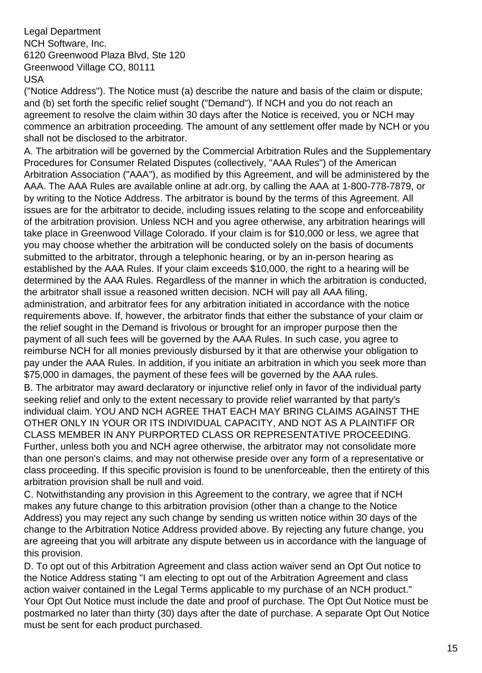Legal Department NCH Software, Inc. 6120 Greenwood Plaza Blvd, Ste 120 Greenwood Village CO, 80111 USA

("Notice Address"). The Notice must (a) describe the nature and basis of the claim or dispute; and (b) set forth the specific relief sought ("Demand"). If NCH and you do not reach an agreement to resolve the claim within 30 days after the Notice is received, you or NCH may commence an arbitration proceeding. The amount of any settlement offer made by NCH or you shall not be disclosed to the arbitrator.

A. The arbitration will be governed by the Commercial Arbitration Rules and the Supplementary Procedures for Consumer Related Disputes (collectively, "AAA Rules") of the American Arbitration Association ("AAA"), as modified by this Agreement, and will be administered by the AAA. The AAA Rules are available online at adr.org, by calling the AAA at 1-800-778-7879, or by writing to the Notice Address. The arbitrator is bound by the terms of this Agreement. All issues are for the arbitrator to decide, including issues relating to the scope and enforceability of the arbitration provision. Unless NCH and you agree otherwise, any arbitration hearings will take place in Greenwood Village Colorado. If your claim is for \$10,000 or less, we agree that you may choose whether the arbitration will be conducted solely on the basis of documents submitted to the arbitrator, through a telephonic hearing, or by an in-person hearing as established by the AAA Rules. If your claim exceeds \$10,000, the right to a hearing will be determined by the AAA Rules. Regardless of the manner in which the arbitration is conducted, the arbitrator shall issue a reasoned written decision. NCH will pay all AAA filing, administration, and arbitrator fees for any arbitration initiated in accordance with the notice requirements above. If, however, the arbitrator finds that either the substance of your claim or the relief sought in the Demand is frivolous or brought for an improper purpose then the payment of all such fees will be governed by the AAA Rules. In such case, you agree to reimburse NCH for all monies previously disbursed by it that are otherwise your obligation to pay under the AAA Rules. In addition, if you initiate an arbitration in which you seek more than \$75,000 in damages, the payment of these fees will be governed by the AAA rules. B. The arbitrator may award declaratory or injunctive relief only in favor of the individual party seeking relief and only to the extent necessary to provide relief warranted by that party's individual claim. YOU AND NCH AGREE THAT EACH MAY BRING CLAIMS AGAINST THE OTHER ONLY IN YOUR OR ITS INDIVIDUAL CAPACITY, AND NOT AS A PLAINTIFF OR CLASS MEMBER IN ANY PURPORTED CLASS OR REPRESENTATIVE PROCEEDING. Further, unless both you and NCH agree otherwise, the arbitrator may not consolidate more

than one person's claims, and may not otherwise preside over any form of a representative or class proceeding. If this specific provision is found to be unenforceable, then the entirety of this arbitration provision shall be null and void.

C. Notwithstanding any provision in this Agreement to the contrary, we agree that if NCH makes any future change to this arbitration provision (other than a change to the Notice Address) you may reject any such change by sending us written notice within 30 days of the change to the Arbitration Notice Address provided above. By rejecting any future change, you are agreeing that you will arbitrate any dispute between us in accordance with the language of this provision.

D. To opt out of this Arbitration Agreement and class action waiver send an Opt Out notice to the Notice Address stating "I am electing to opt out of the Arbitration Agreement and class action waiver contained in the Legal Terms applicable to my purchase of an NCH product." Your Opt Out Notice must include the date and proof of purchase. The Opt Out Notice must be postmarked no later than thirty (30) days after the date of purchase. A separate Opt Out Notice must be sent for each product purchased.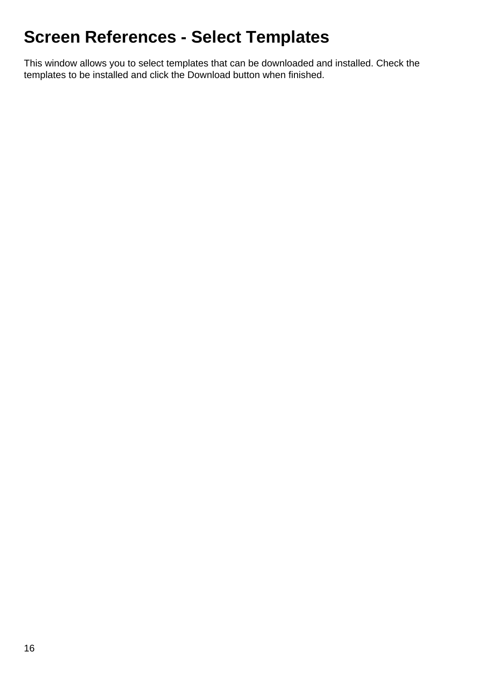# **Screen References - Select Templates**

This window allows you to select templates that can be downloaded and installed. Check the templates to be installed and click the Download button when finished.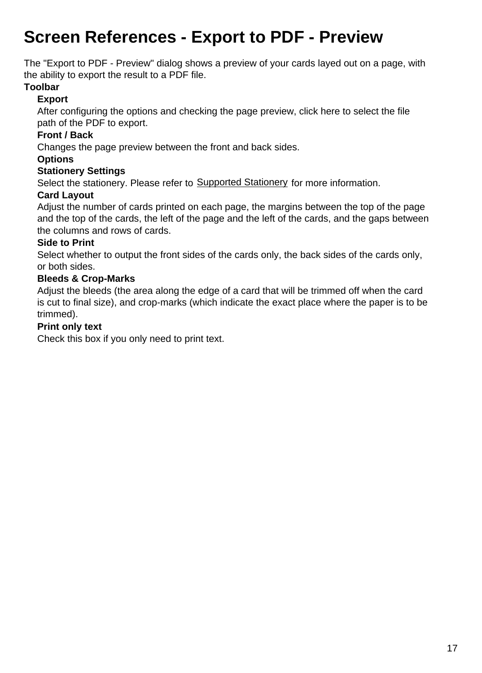# **Screen References - Export to PDF - Preview**

The "Export to PDF - Preview" dialog shows a preview of your cards layed out on a page, with the ability to export the result to a PDF file.

#### **Toolbar**

### **Export**

After configuring the options and checking the page preview, click here to select the file path of the PDF to export.

## **Front / Back**

Changes the page preview between the front and back sides.

### **Options**

#### **Stationery Settings**

Select the stationery. Please refer to [Supported Stationery](stationery.html) for more information.

### **Card Layout**

Adjust the number of cards printed on each page, the margins between the top of the page and the top of the cards, the left of the page and the left of the cards, and the gaps between the columns and rows of cards.

### **Side to Print**

Select whether to output the front sides of the cards only, the back sides of the cards only, or both sides.

### **Bleeds & Crop-Marks**

Adjust the bleeds (the area along the edge of a card that will be trimmed off when the card is cut to final size), and crop-marks (which indicate the exact place where the paper is to be trimmed).

#### **Print only text**

Check this box if you only need to print text.